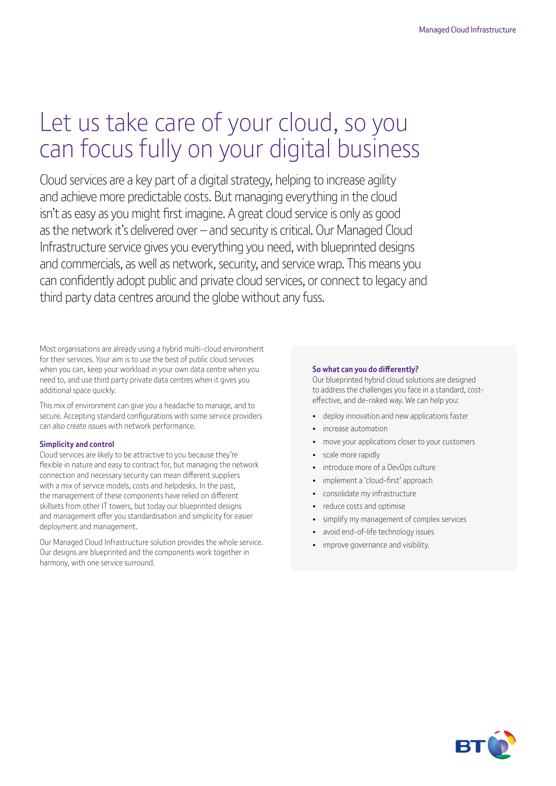# Let us take care of your cloud, so you can focus fully on your digital business

Cloud services are a key part of a digital strategy, helping to increase agility and achieve more predictable costs. But managing everything in the cloud isn't as easy as you might first imagine. A great cloud service is only as good as the network it's delivered over – and security is critical. Our Managed Cloud Infrastructure service gives you everything you need, with blueprinted designs and commercials, as well as network, security, and service wrap. This means you can confidently adopt public and private cloud services, or connect to legacy and third party data centres around the globe without any fuss.

Most organisations are already using a hybrid multi-cloud environment for their services. Your aim is to use the best of public cloud services when you can, keep your workload in your own data centre when you need to, and use third party private data centres when it gives you additional space quickly.

This mix of environment can give you a headache to manage, and to secure. Accepting standard configurations with some service providers can also create issues with network performance.

#### **Simplicity and control**

Cloud services are likely to be attractive to you because they're flexible in nature and easy to contract for, but managing the network connection and necessary security can mean different suppliers with a mix of service models, costs and helpdesks. In the past, the management of these components have relied on different skillsets from other IT towers, but today our blueprinted designs and management offer you standardisation and simplicity for easier deployment and management.

Our Managed Cloud Infrastructure solution provides the whole service. Our designs are blueprinted and the components work together in harmony, with one service surround.

#### **So what can you do differently?**

Our blueprinted hybrid cloud solutions are designed to address the challenges you face in a standard, costeffective, and de-risked way. We can help you:

- deploy innovation and new applications faster
- increase automation
- move your applications closer to your customers
- scale more rapidly
- introduce more of a DevOps culture
- implement a 'cloud-first' approach
- consolidate my infrastructure
- reduce costs and optimise
- simplify my management of complex services
- avoid end-of-life technology issues
- improve governance and visibility.